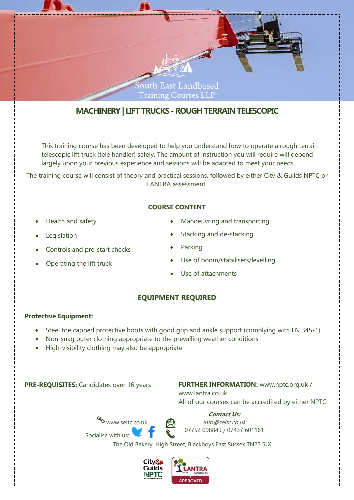

## **MACHINERY| LIFT TRUCKS -ROUGH TERRAINTELESCOPIC**

This training course has been developed to help you understand how to operate a rough terrain telescopic lift truck (tele handler) safely. The amount of instruction you will require will depend largely upon your previous experience and sessions will be adapted to meet your needs.

The training course will consist of theory and practical sessions, followed by either City & Guilds NPTC or LANTRA assessment.

#### **COURSE CONTENT**

- Health and safety
- **Legislation**
- Controls and pre-start checks
- Operating the lift truck
- Manoeuvring and transporting
- Stacking and de-stacking
- **Parking**
- Use of boom/stabilisers/levelling
- Use of attachments

### **EQUIPMENT REQUIRED**

#### **Protective Equipment:**

- Steel toe capped protective boots with good grip and ankle support (complying with EN 345-1)
- Non-snag outer clothing appropriate to the prevailing weather conditions
- High-visibility clothing may also be appropriate

# **PRE-REQUISITES:** Candidates over 16 years **FURTHER INFORMATION:** [www.nptc.org.uk](http://www.nptc.org.uk/) /

www.lantra.co.uk All of our courses can be accredited by either NPTC



**Contact Us:** info@seltc.co.uk 07752 098849 / 07437 601161

The Old Bakery, High Street, Blackboys East Sussex TN22 5JX